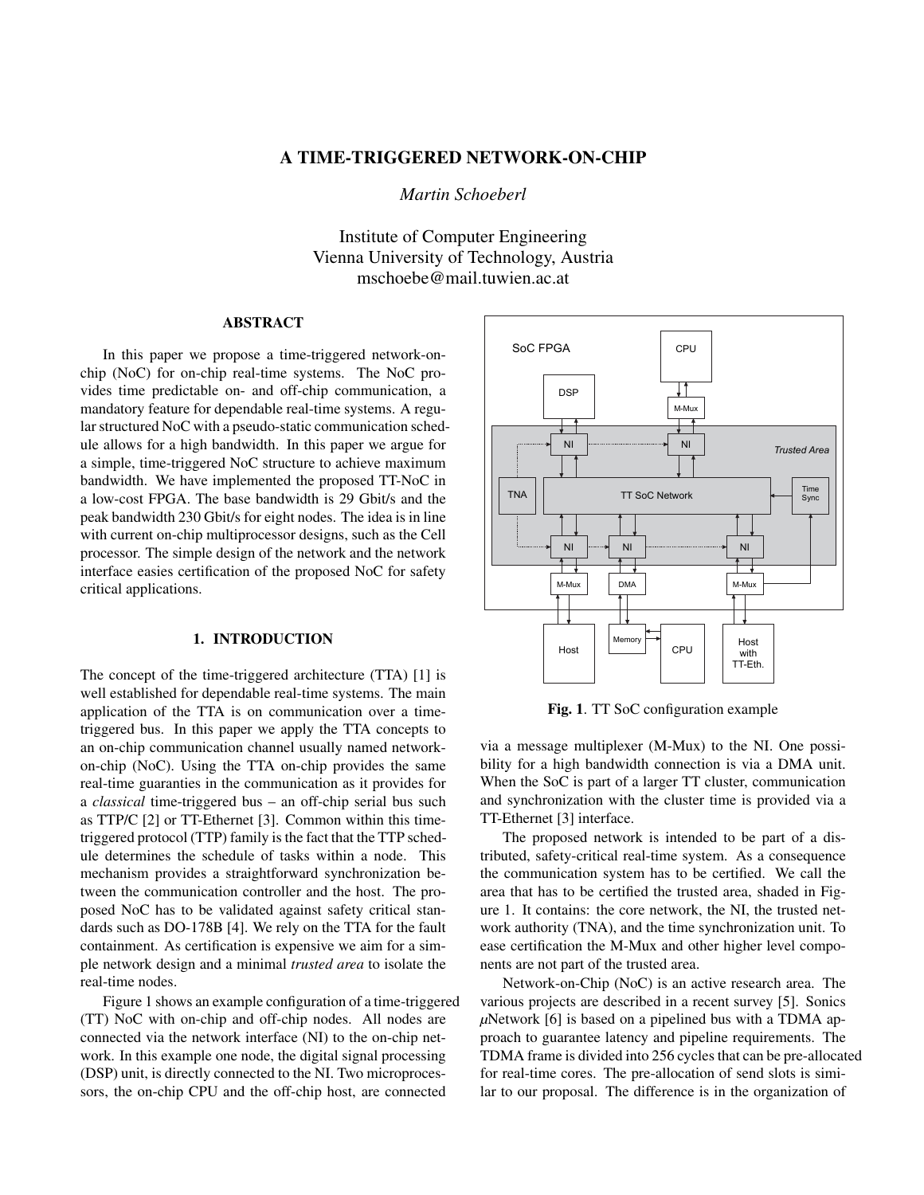# A TIME-TRIGGERED NETWORK-ON-CHIP

*Martin Schoeberl*

Institute of Computer Engineering Vienna University of Technology, Austria mschoebe@mail.tuwien.ac.at

## ABSTRACT

In this paper we propose a time-triggered network-onchip (NoC) for on-chip real-time systems. The NoC provides time predictable on- and off-chip communication, a mandatory feature for dependable real-time systems. A regular structured NoC with a pseudo-static communication schedule allows for a high bandwidth. In this paper we argue for a simple, time-triggered NoC structure to achieve maximum bandwidth. We have implemented the proposed TT-NoC in a low-cost FPGA. The base bandwidth is 29 Gbit/s and the peak bandwidth 230 Gbit/s for eight nodes. The idea is in line with current on-chip multiprocessor designs, such as the Cell processor. The simple design of the network and the network interface easies certification of the proposed NoC for safety critical applications.

## 1. INTRODUCTION

The concept of the time-triggered architecture (TTA) [1] is well established for dependable real-time systems. The main application of the TTA is on communication over a timetriggered bus. In this paper we apply the TTA concepts to an on-chip communication channel usually named networkon-chip (NoC). Using the TTA on-chip provides the same real-time guaranties in the communication as it provides for a *classical* time-triggered bus – an off-chip serial bus such as TTP/C [2] or TT-Ethernet [3]. Common within this timetriggered protocol (TTP) family is the fact that the TTP schedule determines the schedule of tasks within a node. This mechanism provides a straightforward synchronization between the communication controller and the host. The proposed NoC has to be validated against safety critical standards such as DO-178B [4]. We rely on the TTA for the fault containment. As certification is expensive we aim for a simple network design and a minimal *trusted area* to isolate the real-time nodes.

Figure 1 shows an example configuration of a time-triggered (TT) NoC with on-chip and off-chip nodes. All nodes are connected via the network interface (NI) to the on-chip network. In this example one node, the digital signal processing (DSP) unit, is directly connected to the NI. Two microprocessors, the on-chip CPU and the off-chip host, are connected



Fig. 1. TT SoC configuration example

via a message multiplexer (M-Mux) to the NI. One possibility for a high bandwidth connection is via a DMA unit. When the SoC is part of a larger TT cluster, communication and synchronization with the cluster time is provided via a TT-Ethernet [3] interface.

The proposed network is intended to be part of a distributed, safety-critical real-time system. As a consequence the communication system has to be certified. We call the area that has to be certified the trusted area, shaded in Figure 1. It contains: the core network, the NI, the trusted network authority (TNA), and the time synchronization unit. To ease certification the M-Mux and other higher level components are not part of the trusted area.

Network-on-Chip (NoC) is an active research area. The various projects are described in a recent survey [5]. Sonics *µ*Network [6] is based on a pipelined bus with a TDMA approach to guarantee latency and pipeline requirements. The TDMA frame is divided into 256 cycles that can be pre-allocated for real-time cores. The pre-allocation of send slots is similar to our proposal. The difference is in the organization of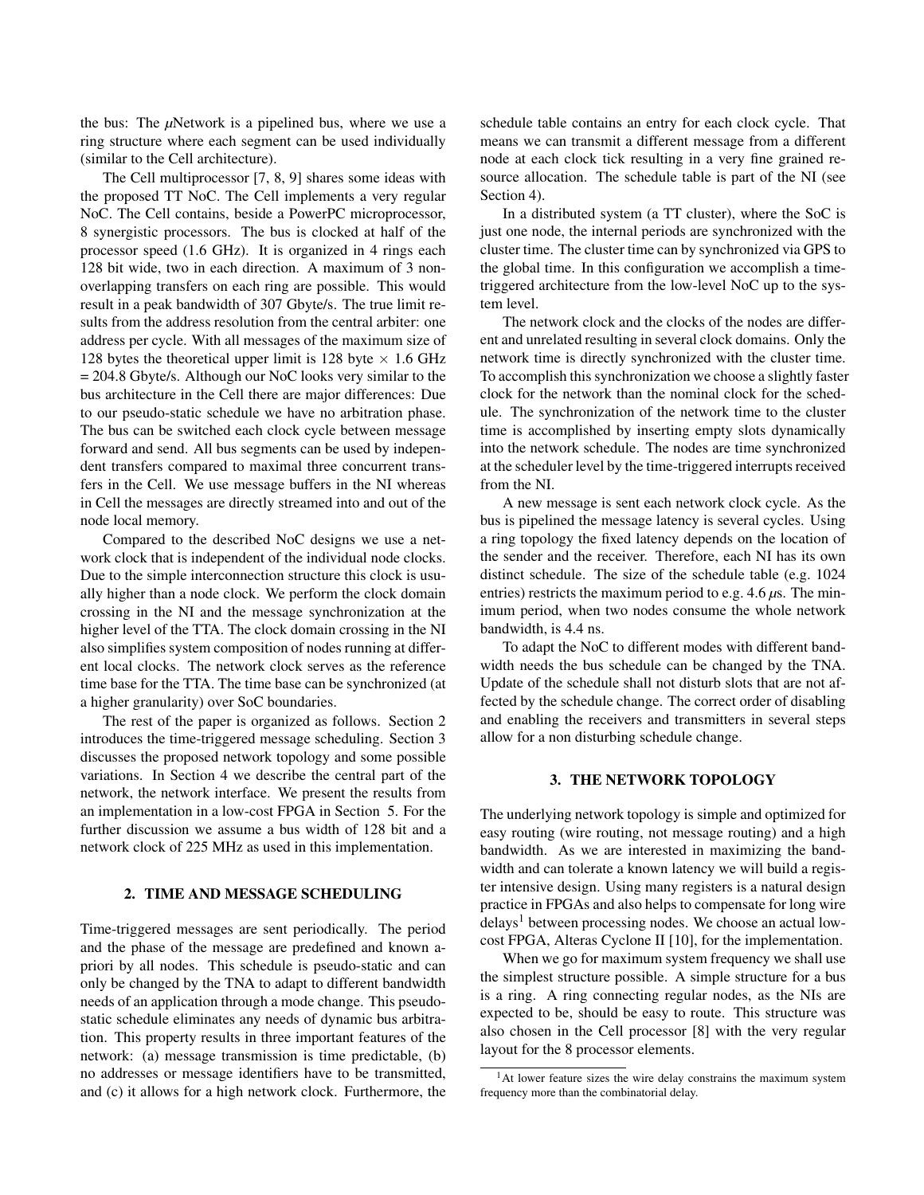the bus: The *µ*Network is a pipelined bus, where we use a ring structure where each segment can be used individually (similar to the Cell architecture).

The Cell multiprocessor [7, 8, 9] shares some ideas with the proposed TT NoC. The Cell implements a very regular NoC. The Cell contains, beside a PowerPC microprocessor, 8 synergistic processors. The bus is clocked at half of the processor speed (1.6 GHz). It is organized in 4 rings each 128 bit wide, two in each direction. A maximum of 3 nonoverlapping transfers on each ring are possible. This would result in a peak bandwidth of 307 Gbyte/s. The true limit results from the address resolution from the central arbiter: one address per cycle. With all messages of the maximum size of 128 bytes the theoretical upper limit is 128 byte  $\times$  1.6 GHz = 204.8 Gbyte/s. Although our NoC looks very similar to the bus architecture in the Cell there are major differences: Due to our pseudo-static schedule we have no arbitration phase. The bus can be switched each clock cycle between message forward and send. All bus segments can be used by independent transfers compared to maximal three concurrent transfers in the Cell. We use message buffers in the NI whereas in Cell the messages are directly streamed into and out of the node local memory.

Compared to the described NoC designs we use a network clock that is independent of the individual node clocks. Due to the simple interconnection structure this clock is usually higher than a node clock. We perform the clock domain crossing in the NI and the message synchronization at the higher level of the TTA. The clock domain crossing in the NI also simplifies system composition of nodes running at different local clocks. The network clock serves as the reference time base for the TTA. The time base can be synchronized (at a higher granularity) over SoC boundaries.

The rest of the paper is organized as follows. Section 2 introduces the time-triggered message scheduling. Section 3 discusses the proposed network topology and some possible variations. In Section 4 we describe the central part of the network, the network interface. We present the results from an implementation in a low-cost FPGA in Section 5. For the further discussion we assume a bus width of 128 bit and a network clock of 225 MHz as used in this implementation.

#### 2. TIME AND MESSAGE SCHEDULING

Time-triggered messages are sent periodically. The period and the phase of the message are predefined and known apriori by all nodes. This schedule is pseudo-static and can only be changed by the TNA to adapt to different bandwidth needs of an application through a mode change. This pseudostatic schedule eliminates any needs of dynamic bus arbitration. This property results in three important features of the network: (a) message transmission is time predictable, (b) no addresses or message identifiers have to be transmitted, and (c) it allows for a high network clock. Furthermore, the schedule table contains an entry for each clock cycle. That means we can transmit a different message from a different node at each clock tick resulting in a very fine grained resource allocation. The schedule table is part of the NI (see Section 4).

In a distributed system (a TT cluster), where the SoC is just one node, the internal periods are synchronized with the cluster time. The cluster time can by synchronized via GPS to the global time. In this configuration we accomplish a timetriggered architecture from the low-level NoC up to the system level.

The network clock and the clocks of the nodes are different and unrelated resulting in several clock domains. Only the network time is directly synchronized with the cluster time. To accomplish this synchronization we choose a slightly faster clock for the network than the nominal clock for the schedule. The synchronization of the network time to the cluster time is accomplished by inserting empty slots dynamically into the network schedule. The nodes are time synchronized at the scheduler level by the time-triggered interrupts received from the NI.

A new message is sent each network clock cycle. As the bus is pipelined the message latency is several cycles. Using a ring topology the fixed latency depends on the location of the sender and the receiver. Therefore, each NI has its own distinct schedule. The size of the schedule table (e.g. 1024 entries) restricts the maximum period to e.g. 4.6 *µ*s. The minimum period, when two nodes consume the whole network bandwidth, is 4.4 ns.

To adapt the NoC to different modes with different bandwidth needs the bus schedule can be changed by the TNA. Update of the schedule shall not disturb slots that are not affected by the schedule change. The correct order of disabling and enabling the receivers and transmitters in several steps allow for a non disturbing schedule change.

#### 3. THE NETWORK TOPOLOGY

The underlying network topology is simple and optimized for easy routing (wire routing, not message routing) and a high bandwidth. As we are interested in maximizing the bandwidth and can tolerate a known latency we will build a register intensive design. Using many registers is a natural design practice in FPGAs and also helps to compensate for long wire delays<sup>1</sup> between processing nodes. We choose an actual lowcost FPGA, Alteras Cyclone II [10], for the implementation.

When we go for maximum system frequency we shall use the simplest structure possible. A simple structure for a bus is a ring. A ring connecting regular nodes, as the NIs are expected to be, should be easy to route. This structure was also chosen in the Cell processor [8] with the very regular layout for the 8 processor elements.

 $<sup>1</sup>$ At lower feature sizes the wire delay constrains the maximum system</sup> frequency more than the combinatorial delay.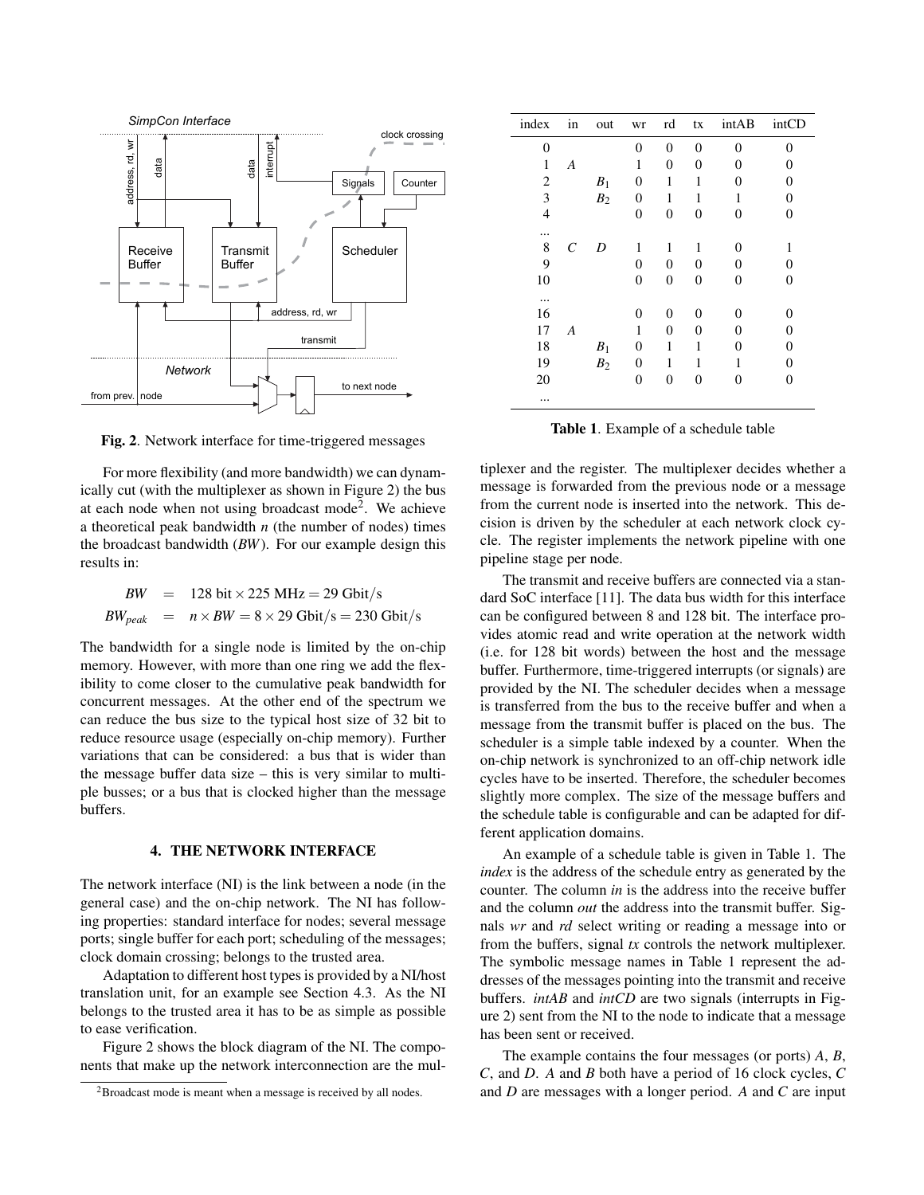

Fig. 2. Network interface for time-triggered messages

For more flexibility (and more bandwidth) we can dynamically cut (with the multiplexer as shown in Figure 2) the bus at each node when not using broadcast mode<sup>2</sup>. We achieve a theoretical peak bandwidth *n* (the number of nodes) times the broadcast bandwidth (*BW*). For our example design this results in:

*BW* = 128 bit × 225 MHz = 29 Gbit/s  
\n*BW*<sub>peak</sub> = 
$$
n \times BW = 8 \times 29
$$
 Gbit/s = 230 Gbit/s

The bandwidth for a single node is limited by the on-chip memory. However, with more than one ring we add the flexibility to come closer to the cumulative peak bandwidth for concurrent messages. At the other end of the spectrum we can reduce the bus size to the typical host size of 32 bit to reduce resource usage (especially on-chip memory). Further variations that can be considered: a bus that is wider than the message buffer data size – this is very similar to multiple busses; or a bus that is clocked higher than the message buffers.

#### 4. THE NETWORK INTERFACE

The network interface (NI) is the link between a node (in the general case) and the on-chip network. The NI has following properties: standard interface for nodes; several message ports; single buffer for each port; scheduling of the messages; clock domain crossing; belongs to the trusted area.

Adaptation to different host types is provided by a NI/host translation unit, for an example see Section 4.3. As the NI belongs to the trusted area it has to be as simple as possible to ease verification.

Figure 2 shows the block diagram of the NI. The components that make up the network interconnection are the mul-

| index          | in      | out            | wr             | rd             | tx       | intAB    | intCD            |
|----------------|---------|----------------|----------------|----------------|----------|----------|------------------|
| $\theta$       |         |                | $\theta$       | $\theta$       | $\Omega$ | $\Omega$ | $\theta$         |
| 1              | A       |                | 1              | $\overline{0}$ | 0        | 0        | 0                |
| 2              |         | $B_1$          | 0              | 1              | 1        | 0        | 0                |
| 3              |         | B <sub>2</sub> | 0              | 1              | 1        | 1        | 0                |
| $\overline{4}$ |         |                | 0              | $\overline{0}$ | 0        | 0        | $\overline{0}$   |
|                |         |                |                |                |          |          |                  |
| 8              | $\,c\,$ | D              | 1              | 1              | 1        | $\theta$ | 1                |
| 9              |         |                | $\overline{0}$ | $\overline{0}$ | 0        | 0        | 0                |
| 10             |         |                | 0              | 0              | 0        | 0        | $\boldsymbol{0}$ |
|                |         |                |                |                |          |          |                  |
| 16             |         |                | 0              | 0              | 0        | $\Omega$ | $\theta$         |
| 17             | A       |                | 1              | 0              | 0        | 0        | 0                |
| 18             |         | $B_1$          | 0              | 1              | 1        | $\theta$ | 0                |
| 19             |         | B <sub>2</sub> | 0              | 1              | 1        | 1        | 0                |
| 20             |         |                | 0              | 0              | 0        | 0        | 0                |
| $\cdots$       |         |                |                |                |          |          |                  |

Table 1. Example of a schedule table

tiplexer and the register. The multiplexer decides whether a message is forwarded from the previous node or a message from the current node is inserted into the network. This decision is driven by the scheduler at each network clock cycle. The register implements the network pipeline with one pipeline stage per node.

The transmit and receive buffers are connected via a standard SoC interface [11]. The data bus width for this interface can be configured between 8 and 128 bit. The interface provides atomic read and write operation at the network width (i.e. for 128 bit words) between the host and the message buffer. Furthermore, time-triggered interrupts (or signals) are provided by the NI. The scheduler decides when a message is transferred from the bus to the receive buffer and when a message from the transmit buffer is placed on the bus. The scheduler is a simple table indexed by a counter. When the on-chip network is synchronized to an off-chip network idle cycles have to be inserted. Therefore, the scheduler becomes slightly more complex. The size of the message buffers and the schedule table is configurable and can be adapted for different application domains.

An example of a schedule table is given in Table 1. The *index* is the address of the schedule entry as generated by the counter. The column *in* is the address into the receive buffer and the column *out* the address into the transmit buffer. Signals *wr* and *rd* select writing or reading a message into or from the buffers, signal *tx* controls the network multiplexer. The symbolic message names in Table 1 represent the addresses of the messages pointing into the transmit and receive buffers. *intAB* and *intCD* are two signals (interrupts in Figure 2) sent from the NI to the node to indicate that a message has been sent or received.

The example contains the four messages (or ports) *A*, *B*, *C*, and *D*. *A* and *B* both have a period of 16 clock cycles, *C* and *D* are messages with a longer period. *A* and *C* are input

<sup>&</sup>lt;sup>2</sup>Broadcast mode is meant when a message is received by all nodes.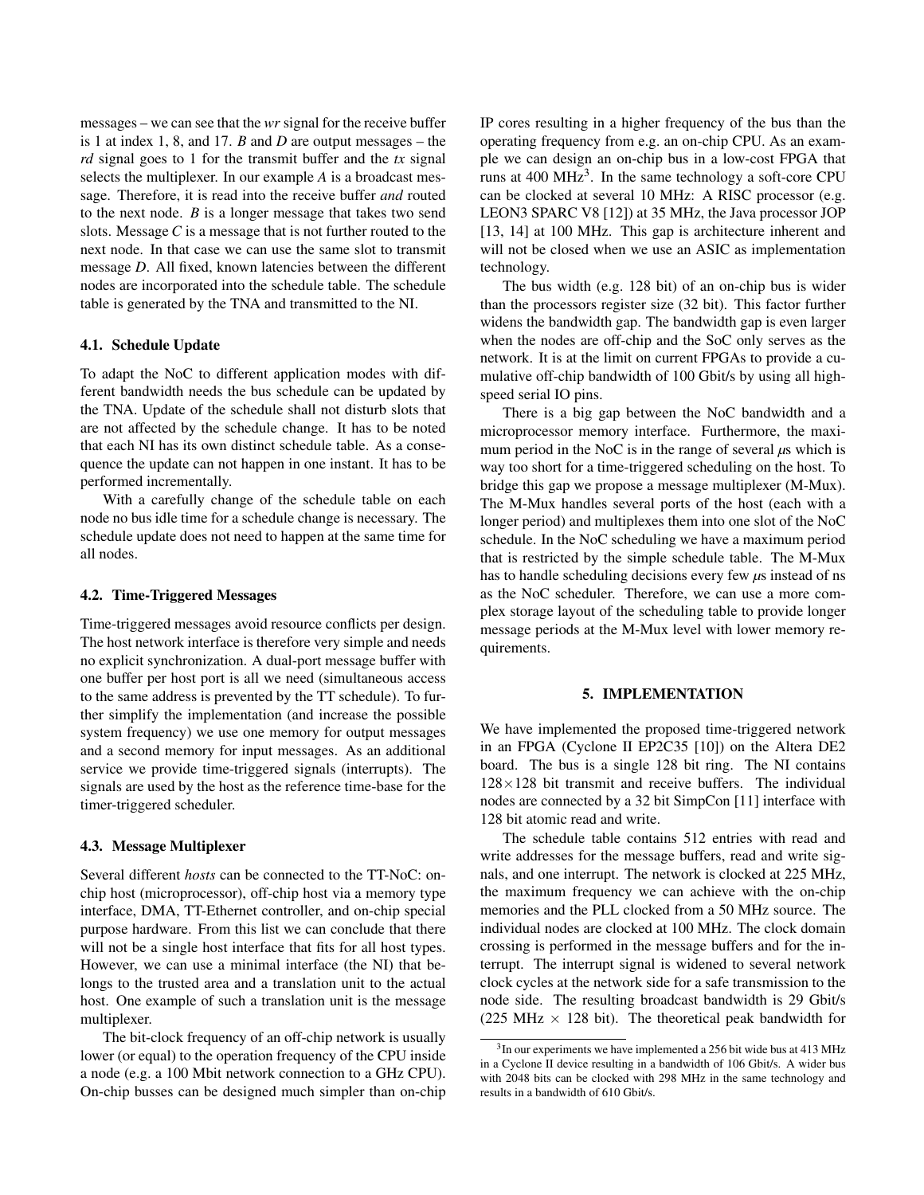messages – we can see that the *wr* signal for the receive buffer is 1 at index 1, 8, and 17. *B* and *D* are output messages – the *rd* signal goes to 1 for the transmit buffer and the *tx* signal selects the multiplexer. In our example *A* is a broadcast message. Therefore, it is read into the receive buffer *and* routed to the next node. *B* is a longer message that takes two send slots. Message *C* is a message that is not further routed to the next node. In that case we can use the same slot to transmit message *D*. All fixed, known latencies between the different nodes are incorporated into the schedule table. The schedule table is generated by the TNA and transmitted to the NI.

#### 4.1. Schedule Update

To adapt the NoC to different application modes with different bandwidth needs the bus schedule can be updated by the TNA. Update of the schedule shall not disturb slots that are not affected by the schedule change. It has to be noted that each NI has its own distinct schedule table. As a consequence the update can not happen in one instant. It has to be performed incrementally.

With a carefully change of the schedule table on each node no bus idle time for a schedule change is necessary. The schedule update does not need to happen at the same time for all nodes.

#### 4.2. Time-Triggered Messages

Time-triggered messages avoid resource conflicts per design. The host network interface is therefore very simple and needs no explicit synchronization. A dual-port message buffer with one buffer per host port is all we need (simultaneous access to the same address is prevented by the TT schedule). To further simplify the implementation (and increase the possible system frequency) we use one memory for output messages and a second memory for input messages. As an additional service we provide time-triggered signals (interrupts). The signals are used by the host as the reference time-base for the timer-triggered scheduler.

#### 4.3. Message Multiplexer

Several different *hosts* can be connected to the TT-NoC: onchip host (microprocessor), off-chip host via a memory type interface, DMA, TT-Ethernet controller, and on-chip special purpose hardware. From this list we can conclude that there will not be a single host interface that fits for all host types. However, we can use a minimal interface (the NI) that belongs to the trusted area and a translation unit to the actual host. One example of such a translation unit is the message multiplexer.

The bit-clock frequency of an off-chip network is usually lower (or equal) to the operation frequency of the CPU inside a node (e.g. a 100 Mbit network connection to a GHz CPU). On-chip busses can be designed much simpler than on-chip IP cores resulting in a higher frequency of the bus than the operating frequency from e.g. an on-chip CPU. As an example we can design an on-chip bus in a low-cost FPGA that runs at  $400 \text{ MHz}^3$ . In the same technology a soft-core CPU can be clocked at several 10 MHz: A RISC processor (e.g. LEON3 SPARC V8 [12]) at 35 MHz, the Java processor JOP [13, 14] at 100 MHz. This gap is architecture inherent and will not be closed when we use an ASIC as implementation technology.

The bus width (e.g. 128 bit) of an on-chip bus is wider than the processors register size (32 bit). This factor further widens the bandwidth gap. The bandwidth gap is even larger when the nodes are off-chip and the SoC only serves as the network. It is at the limit on current FPGAs to provide a cumulative off-chip bandwidth of 100 Gbit/s by using all highspeed serial IO pins.

There is a big gap between the NoC bandwidth and a microprocessor memory interface. Furthermore, the maximum period in the NoC is in the range of several *µ*s which is way too short for a time-triggered scheduling on the host. To bridge this gap we propose a message multiplexer (M-Mux). The M-Mux handles several ports of the host (each with a longer period) and multiplexes them into one slot of the NoC schedule. In the NoC scheduling we have a maximum period that is restricted by the simple schedule table. The M-Mux has to handle scheduling decisions every few  $\mu$ s instead of ns as the NoC scheduler. Therefore, we can use a more complex storage layout of the scheduling table to provide longer message periods at the M-Mux level with lower memory requirements.

#### 5. IMPLEMENTATION

We have implemented the proposed time-triggered network in an FPGA (Cyclone II EP2C35 [10]) on the Altera DE2 board. The bus is a single 128 bit ring. The NI contains  $128\times128$  bit transmit and receive buffers. The individual nodes are connected by a 32 bit SimpCon [11] interface with 128 bit atomic read and write.

The schedule table contains 512 entries with read and write addresses for the message buffers, read and write signals, and one interrupt. The network is clocked at 225 MHz, the maximum frequency we can achieve with the on-chip memories and the PLL clocked from a 50 MHz source. The individual nodes are clocked at 100 MHz. The clock domain crossing is performed in the message buffers and for the interrupt. The interrupt signal is widened to several network clock cycles at the network side for a safe transmission to the node side. The resulting broadcast bandwidth is 29 Gbit/s (225 MHz  $\times$  128 bit). The theoretical peak bandwidth for

<sup>&</sup>lt;sup>3</sup>In our experiments we have implemented a 256 bit wide bus at 413 MHz in a Cyclone II device resulting in a bandwidth of 106 Gbit/s. A wider bus with 2048 bits can be clocked with 298 MHz in the same technology and results in a bandwidth of 610 Gbit/s.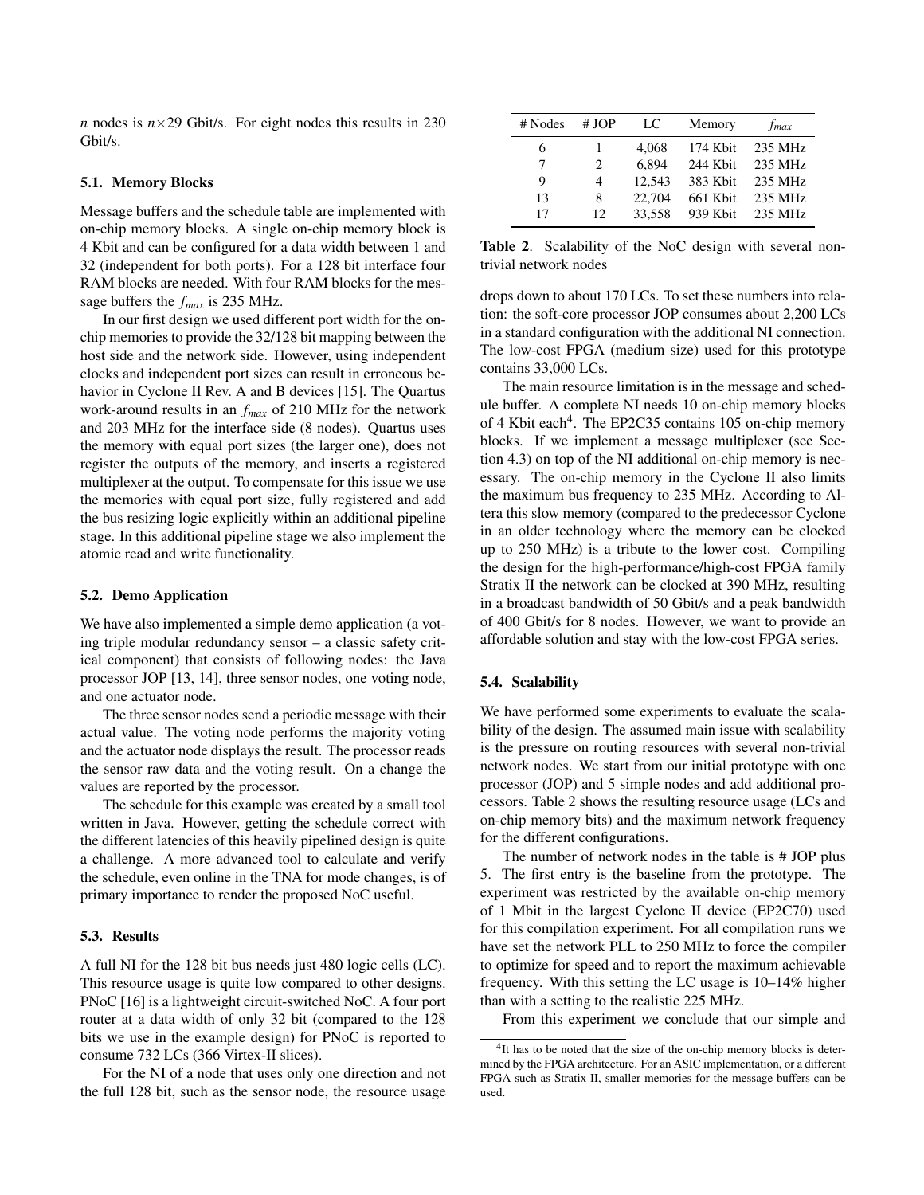*n* nodes is  $n \times 29$  Gbit/s. For eight nodes this results in 230 Gbit/s.

#### 5.1. Memory Blocks

Message buffers and the schedule table are implemented with on-chip memory blocks. A single on-chip memory block is 4 Kbit and can be configured for a data width between 1 and 32 (independent for both ports). For a 128 bit interface four RAM blocks are needed. With four RAM blocks for the message buffers the *fmax* is 235 MHz.

In our first design we used different port width for the onchip memories to provide the 32/128 bit mapping between the host side and the network side. However, using independent clocks and independent port sizes can result in erroneous behavior in Cyclone II Rev. A and B devices [15]. The Quartus work-around results in an *fmax* of 210 MHz for the network and 203 MHz for the interface side (8 nodes). Quartus uses the memory with equal port sizes (the larger one), does not register the outputs of the memory, and inserts a registered multiplexer at the output. To compensate for this issue we use the memories with equal port size, fully registered and add the bus resizing logic explicitly within an additional pipeline stage. In this additional pipeline stage we also implement the atomic read and write functionality.

#### 5.2. Demo Application

We have also implemented a simple demo application (a voting triple modular redundancy sensor – a classic safety critical component) that consists of following nodes: the Java processor JOP [13, 14], three sensor nodes, one voting node, and one actuator node.

The three sensor nodes send a periodic message with their actual value. The voting node performs the majority voting and the actuator node displays the result. The processor reads the sensor raw data and the voting result. On a change the values are reported by the processor.

The schedule for this example was created by a small tool written in Java. However, getting the schedule correct with the different latencies of this heavily pipelined design is quite a challenge. A more advanced tool to calculate and verify the schedule, even online in the TNA for mode changes, is of primary importance to render the proposed NoC useful.

## 5.3. Results

A full NI for the 128 bit bus needs just 480 logic cells (LC). This resource usage is quite low compared to other designs. PNoC [16] is a lightweight circuit-switched NoC. A four port router at a data width of only 32 bit (compared to the 128 bits we use in the example design) for PNoC is reported to consume 732 LCs (366 Virtex-II slices).

For the NI of a node that uses only one direction and not the full 128 bit, such as the sensor node, the resource usage

| # Nodes | # JOP                         | LC     | Memory   | f <sub>max</sub> |
|---------|-------------------------------|--------|----------|------------------|
| 6       |                               | 4,068  | 174 Kbit | 235 MHz          |
| 7       | $\mathfrak{D}_{\mathfrak{p}}$ | 6.894  | 244 Kbit | 235 MHz          |
| 9       | 4                             | 12.543 | 383 Kbit | 235 MHz          |
| 13      | 8                             | 22,704 | 661 Kbit | 235 MHz          |
| 17      | 12                            | 33.558 | 939 Kbit | 235 MHz          |

Table 2. Scalability of the NoC design with several nontrivial network nodes

drops down to about 170 LCs. To set these numbers into relation: the soft-core processor JOP consumes about 2,200 LCs in a standard configuration with the additional NI connection. The low-cost FPGA (medium size) used for this prototype contains 33,000 LCs.

The main resource limitation is in the message and schedule buffer. A complete NI needs 10 on-chip memory blocks of 4 Kbit each<sup>4</sup>. The EP2C35 contains 105 on-chip memory blocks. If we implement a message multiplexer (see Section 4.3) on top of the NI additional on-chip memory is necessary. The on-chip memory in the Cyclone II also limits the maximum bus frequency to 235 MHz. According to Altera this slow memory (compared to the predecessor Cyclone in an older technology where the memory can be clocked up to 250 MHz) is a tribute to the lower cost. Compiling the design for the high-performance/high-cost FPGA family Stratix II the network can be clocked at 390 MHz, resulting in a broadcast bandwidth of 50 Gbit/s and a peak bandwidth of 400 Gbit/s for 8 nodes. However, we want to provide an affordable solution and stay with the low-cost FPGA series.

#### 5.4. Scalability

We have performed some experiments to evaluate the scalability of the design. The assumed main issue with scalability is the pressure on routing resources with several non-trivial network nodes. We start from our initial prototype with one processor (JOP) and 5 simple nodes and add additional processors. Table 2 shows the resulting resource usage (LCs and on-chip memory bits) and the maximum network frequency for the different configurations.

The number of network nodes in the table is # JOP plus 5. The first entry is the baseline from the prototype. The experiment was restricted by the available on-chip memory of 1 Mbit in the largest Cyclone II device (EP2C70) used for this compilation experiment. For all compilation runs we have set the network PLL to 250 MHz to force the compiler to optimize for speed and to report the maximum achievable frequency. With this setting the LC usage is 10–14% higher than with a setting to the realistic 225 MHz.

From this experiment we conclude that our simple and

<sup>&</sup>lt;sup>4</sup>It has to be noted that the size of the on-chip memory blocks is determined by the FPGA architecture. For an ASIC implementation, or a different FPGA such as Stratix II, smaller memories for the message buffers can be used.